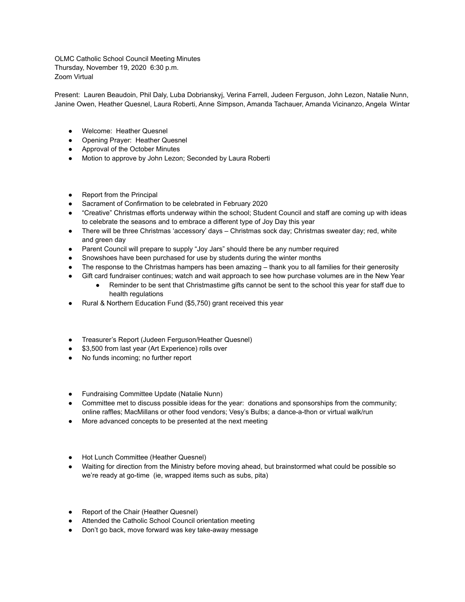OLMC Catholic School Council Meeting Minutes Thursday, November 19, 2020 6:30 p.m. Zoom Virtual

Present: Lauren Beaudoin, Phil Daly, Luba Dobrianskyj, Verina Farrell, Judeen Ferguson, John Lezon, Natalie Nunn, Janine Owen, Heather Quesnel, Laura Roberti, Anne Simpson, Amanda Tachauer, Amanda Vicinanzo, Angela Wintar

- Welcome: Heather Quesnel
- Opening Prayer: Heather Quesnel
- Approval of the October Minutes
- Motion to approve by John Lezon; Seconded by Laura Roberti
- Report from the Principal
- Sacrament of Confirmation to be celebrated in February 2020
- "Creative" Christmas efforts underway within the school; Student Council and staff are coming up with ideas to celebrate the seasons and to embrace a different type of Joy Day this year
- There will be three Christmas 'accessory' days Christmas sock day; Christmas sweater day; red, white and green day
- Parent Council will prepare to supply "Joy Jars" should there be any number required
- Snowshoes have been purchased for use by students during the winter months
- The response to the Christmas hampers has been amazing thank you to all families for their generosity
- Gift card fundraiser continues; watch and wait approach to see how purchase volumes are in the New Year • Reminder to be sent that Christmastime gifts cannot be sent to the school this year for staff due to
	- health regulations
- Rural & Northern Education Fund (\$5,750) grant received this year
- Treasurer's Report (Judeen Ferguson/Heather Quesnel)
- \$3,500 from last year (Art Experience) rolls over
- No funds incoming; no further report
- Fundraising Committee Update (Natalie Nunn)
- Committee met to discuss possible ideas for the year: donations and sponsorships from the community; online raffles; MacMillans or other food vendors; Vesy's Bulbs; a dance-a-thon or virtual walk/run
- More advanced concepts to be presented at the next meeting
- Hot Lunch Committee (Heather Quesnel)
- Waiting for direction from the Ministry before moving ahead, but brainstormed what could be possible so we're ready at go-time (ie, wrapped items such as subs, pita)
- Report of the Chair (Heather Quesnel)
- Attended the Catholic School Council orientation meeting
- Don't go back, move forward was key take-away message